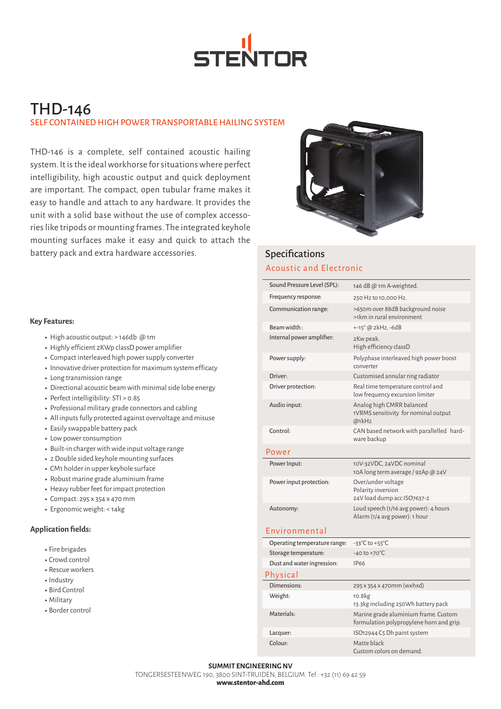

## THD-146 SELF CONTAINED HIGH POWER TRANSPORTABLE HAILING SYSTEM

THD-146 is a complete, self contained acoustic hailing system. It is the ideal workhorse for situations where perfect intelligibility, high acoustic output and quick deployment are important. The compact, open tubular frame makes it easy to handle and attach to any hardware. It provides the unit with a solid base without the use of complex accessories like tripods or mounting frames. The integrated keyhole mounting surfaces make it easy and quick to attach the battery pack and extra hardware accessories.



### Acoustic and Electronic Specifications

| Sound Pressure Level (SPL):  | 146 dB @ 1m A-weighted.                                                          |
|------------------------------|----------------------------------------------------------------------------------|
| Frequency response:          | 250 Hz to 10,000 Hz.                                                             |
| Communication range:         | >650m over 88dB background noise<br>$>1$ km in rural environment                 |
| Beam width:                  | +-15° @ 2kHz, -6dB                                                               |
| Internal power amplifier:    | 2Kw peak.<br>High efficiency classD                                              |
| Power supply:                | Polyphase interleaved high power boost<br>converter                              |
| Driver:                      | Customised annular ring radiator                                                 |
| Driver protection:           | Real time temperature control and<br>low frequency excursion limiter             |
| Audio input:                 | Analog high CMRR balanced<br>1VRMS sensitivity for nominal output<br>@1kHz       |
| Control:                     | CAN based network with parallelled hard-<br>ware backup                          |
| Power                        |                                                                                  |
| Power Input:                 | 10V-32VDC, 24VDC nominal<br>10A long term average / 92Ap @ 24V                   |
| Power input protection:      | Over/under voltage<br>Polarity inversion<br>24V load dump acc ISO7637-2          |
| Autonomy:                    | Loud speech (1/16 avg power): 4 hours<br>Alarm (1/4 avg power): 1 hour           |
| Environmental                |                                                                                  |
| Operating temperature range: | -33°C to +55°C                                                                   |
| Storage temperature:         | $-40$ to $+70^{\circ}$ C                                                         |
| Dust and water ingression:   | <b>IP66</b>                                                                      |
| Physical                     |                                                                                  |
| Dimensions:                  | 295 x 354 x 470mm (wxhxd)                                                        |
| Weight:                      | 10.8kg<br>13.3kg including 250Wh battery pack                                    |
| Materials:                   | Marine grade aluminium frame. Custom<br>formulation polypropylene horn and grip. |
| Lacquer:                     | ISO12944 C5 Dh paint system                                                      |
| Colour:                      | Matte black<br>Custom colors on demand.                                          |

#### **Key Features:**

- $\blacktriangleright$  High acoustic output: > 146db @ 1m
- $\triangleright$  Highly efficient 2KWp classD power amplifier
- $\triangleright$  Compact interleaved high power supply converter
- $\blacktriangleright$  Innovative driver protection for maximum system efficacy
- $\blacktriangleright$  Long transmission range
- $\triangleright$  Directional acoustic beam with minimal side lobe energy
- $\triangleright$  Perfect intelligibility: STI > 0.85
- $\triangleright$  Professional military grade connectors and cabling
- $\triangleright$  All inputs fully protected against overvoltage and misuse
- $\triangleright$  Easily swappable battery pack
- $\triangleright$  Low power consumption
- $\triangleright$  Built-in charger with wide input voltage range
- $\triangleright$  2 Double sided keyhole mounting surfaces
- $\triangleright$  CM1 holder in upper keyhole surface
- $\triangleright$  Robust marine grade aluminium frame
- $\triangleright$  Heavy rubber feet for impact protection
- $\triangleright$  Compact: 295 x 354 x 470 mm
- ► Ergonomic weight: < 14kg

### **Application fields:**

- $\blacktriangleright$  Fire brigades
- $\triangleright$  Crowd control
- $\triangleright$  Rescue workers
- $\blacktriangleright$  Industry
- $\triangleright$  Bird Control
- $\triangleright$  Military
- **Border control**